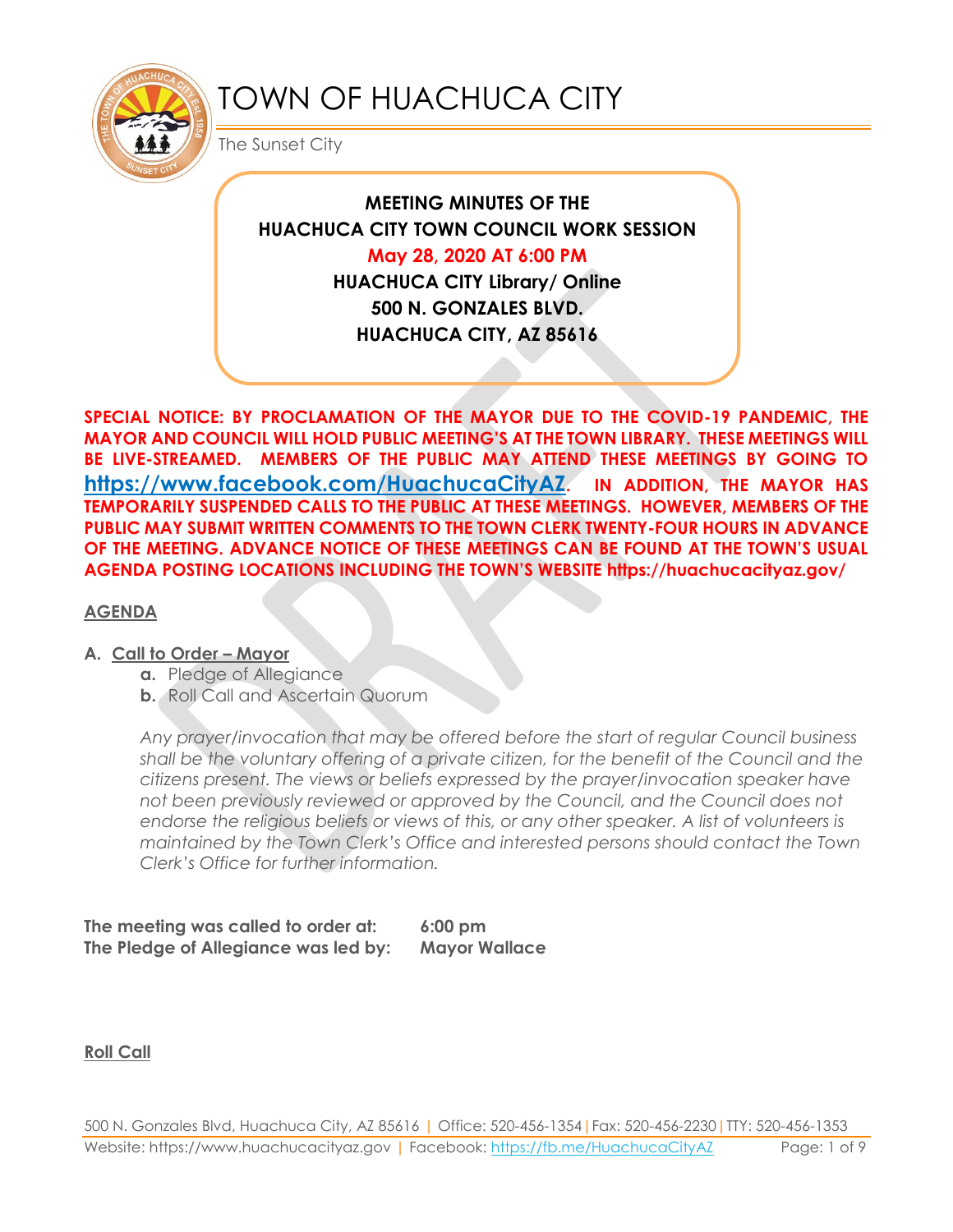

# TOWN OF HUACHUCA CITY

The Sunset City

**MEETING MINUTES OF THE HUACHUCA CITY TOWN COUNCIL WORK SESSION May 28, 2020 AT 6:00 PM HUACHUCA CITY Library/ Online 500 N. GONZALES BLVD. HUACHUCA CITY, AZ 85616**

**SPECIAL NOTICE: BY PROCLAMATION OF THE MAYOR DUE TO THE COVID-19 PANDEMIC, THE MAYOR AND COUNCIL WILL HOLD PUBLIC MEETING'S AT THE TOWN LIBRARY. THESE MEETINGS WILL BE LIVE-STREAMED. MEMBERS OF THE PUBLIC MAY ATTEND THESE MEETINGS BY GOING TO <https://www.facebook.com/HuachucaCityAZ>. IN ADDITION, THE MAYOR HAS TEMPORARILY SUSPENDED CALLS TO THE PUBLIC AT THESE MEETINGS. HOWEVER, MEMBERS OF THE PUBLIC MAY SUBMIT WRITTEN COMMENTS TO THE TOWN CLERK TWENTY-FOUR HOURS IN ADVANCE OF THE MEETING. ADVANCE NOTICE OF THESE MEETINGS CAN BE FOUND AT THE TOWN'S USUAL AGENDA POSTING LOCATIONS INCLUDING THE TOWN'S WEBSITE https://huachucacityaz.gov/**

## **AGENDA**

# **A. Call to Order – Mayor**

- **a.** Pledge of Allegiance
- **b.** Roll Call and Ascertain Quorum

*Any prayer/invocation that may be offered before the start of regular Council business shall be the voluntary offering of a private citizen, for the benefit of the Council and the citizens present. The views or beliefs expressed by the prayer/invocation speaker have not been previously reviewed or approved by the Council, and the Council does not endorse the religious beliefs or views of this, or any other speaker. A list of volunteers is maintained by the Town Clerk's Office and interested persons should contact the Town Clerk's Office for further information.*

**The meeting was called to order at: 6:00 pm The Pledge of Allegiance was led by: Mayor Wallace**

**Roll Call**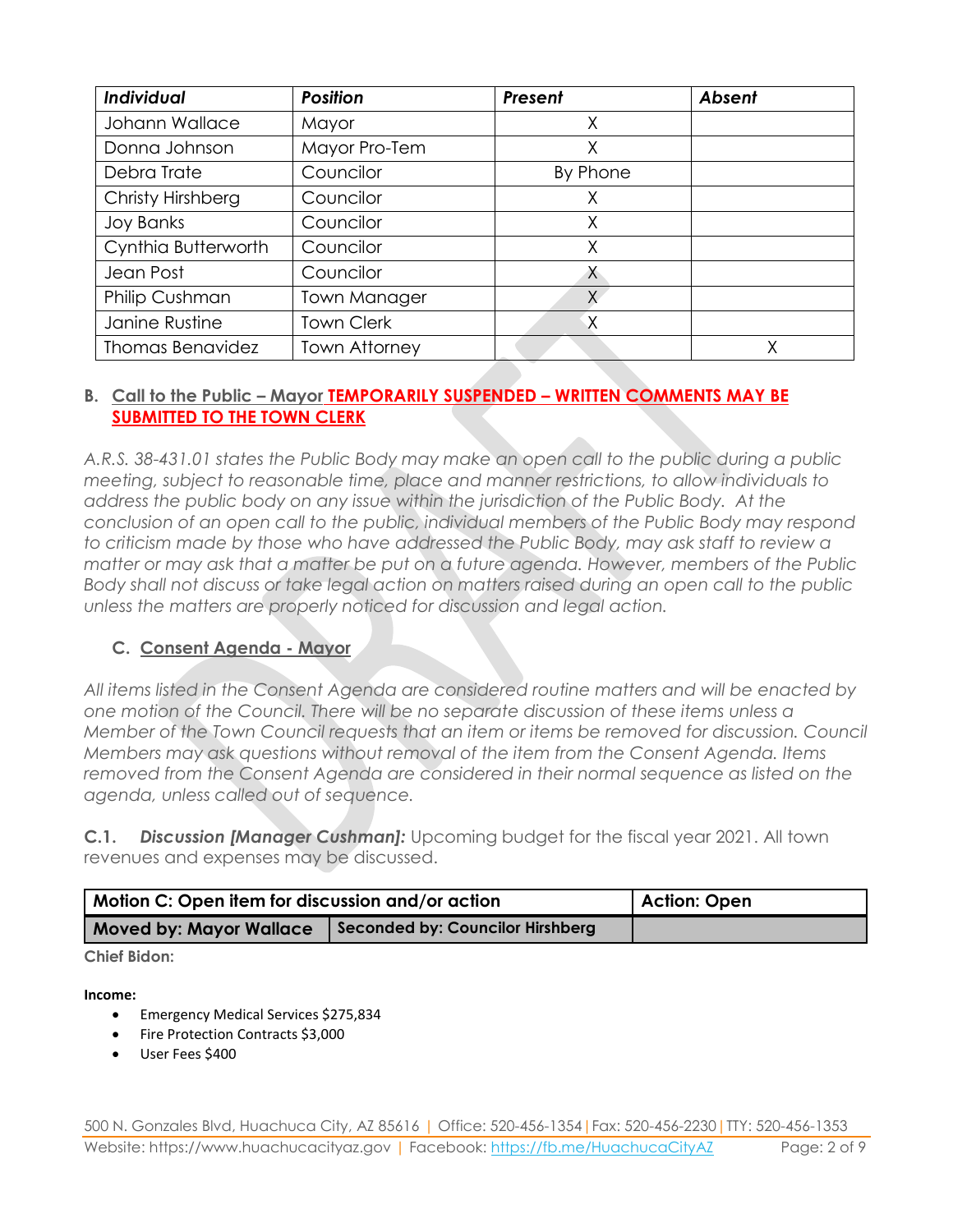| Individual              | <b>Position</b>      |          | <b>Absent</b> |
|-------------------------|----------------------|----------|---------------|
| Johann Wallace          | Mayor                |          |               |
| Donna Johnson           | Mayor Pro-Tem        | Χ        |               |
| Debra Trate             | Councilor            | By Phone |               |
| Christy Hirshberg       | Councilor            | Χ        |               |
| <b>Joy Banks</b>        | Councilor            | Χ        |               |
| Cynthia Butterworth     | Councilor            | Χ        |               |
| Jean Post               | Councilor            | X        |               |
| Philip Cushman          | <b>Town Manager</b>  | Χ.       |               |
| Janine Rustine          | <b>Town Clerk</b>    | Χ        |               |
| <b>Thomas Benavidez</b> | <b>Town Attorney</b> |          | Χ             |

# **B. Call to the Public – Mayor TEMPORARILY SUSPENDED – WRITTEN COMMENTS MAY BE SUBMITTED TO THE TOWN CLERK**

*A.R.S. 38-431.01 states the Public Body may make an open call to the public during a public meeting, subject to reasonable time, place and manner restrictions, to allow individuals to address the public body on any issue within the jurisdiction of the Public Body. At the conclusion of an open call to the public, individual members of the Public Body may respond to criticism made by those who have addressed the Public Body, may ask staff to review a matter or may ask that a matter be put on a future agenda. However, members of the Public Body shall not discuss or take legal action on matters raised during an open call to the public unless the matters are properly noticed for discussion and legal action.*

# **C. Consent Agenda - Mayor**

*All items listed in the Consent Agenda are considered routine matters and will be enacted by one motion of the Council. There will be no separate discussion of these items unless a Member of the Town Council requests that an item or items be removed for discussion. Council Members may ask questions without removal of the item from the Consent Agenda. Items removed from the Consent Agenda are considered in their normal sequence as listed on the agenda, unless called out of sequence.*

**C.1.** *Discussion [Manager Cushman]:* Upcoming budget for the fiscal year 2021. All town revenues and expenses may be discussed.

| <b>Motion C: Open item for discussion and/or action</b>            | Action: Open |
|--------------------------------------------------------------------|--------------|
| Seconded by: Councilor Hirshberg<br><b>Moved by: Mayor Wallace</b> |              |

#### **Chief Bidon:**

#### **Income:**

- **•** Emergency Medical Services \$275,834
- Fire Protection Contracts \$3,000
- User Fees \$400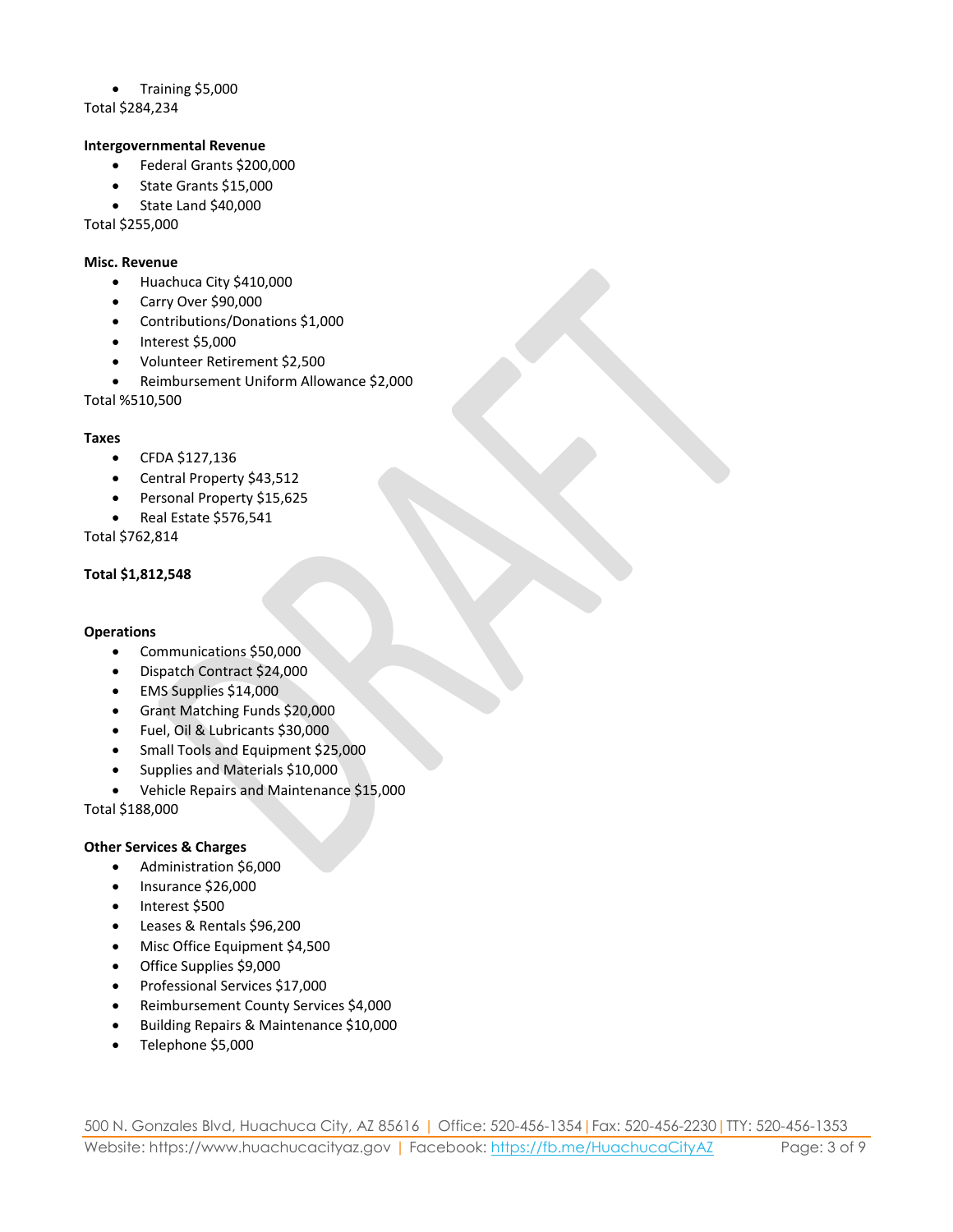Training \$5,000

Total \$284,234

#### **Intergovernmental Revenue**

- Federal Grants \$200,000
- State Grants \$15,000
- State Land \$40,000

Total \$255,000

#### **Misc. Revenue**

- Huachuca City \$410,000
- Carry Over \$90,000
- Contributions/Donations \$1,000
- $\bullet$  Interest \$5,000
- Volunteer Retirement \$2,500
- Reimbursement Uniform Allowance \$2,000

Total %510,500

#### **Taxes**

- CFDA \$127,136
- Central Property \$43,512
- Personal Property \$15,625
- Real Estate \$576,541

Total \$762,814

#### **Total \$1,812,548**

#### **Operations**

- Communications \$50,000
- Dispatch Contract \$24,000
- EMS Supplies \$14,000
- Grant Matching Funds \$20,000
- Fuel, Oil & Lubricants \$30,000
- Small Tools and Equipment \$25,000
- Supplies and Materials \$10,000
- Vehicle Repairs and Maintenance \$15,000

Total \$188,000

#### **Other Services & Charges**

- Administration \$6,000
- Insurance \$26,000
- Interest \$500
- Leases & Rentals \$96,200
- Misc Office Equipment \$4,500
- Office Supplies \$9,000
- Professional Services \$17,000
- Reimbursement County Services \$4,000
- Building Repairs & Maintenance \$10,000
- Telephone \$5,000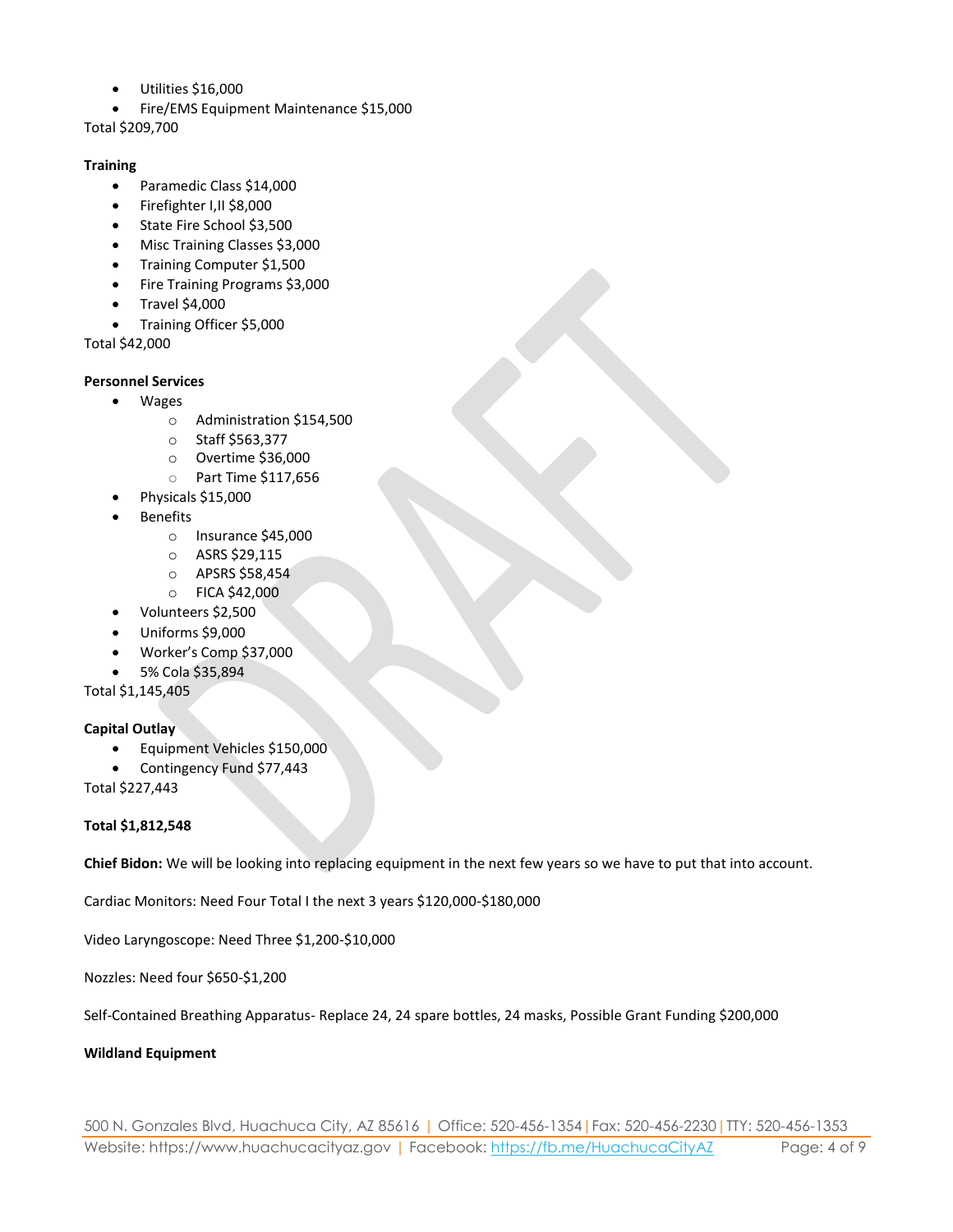- Utilities \$16,000
- Fire/EMS Equipment Maintenance \$15,000

Total \$209,700

#### **Training**

- Paramedic Class \$14,000
- Firefighter I,II \$8,000
- State Fire School \$3,500
- Misc Training Classes \$3,000
- **•** Training Computer \$1,500
- Fire Training Programs \$3,000
- Travel \$4,000
- Training Officer \$5,000

Total \$42,000

#### **Personnel Services**

- Wages
	- o Administration \$154,500
	- o Staff \$563,377
	- o Overtime \$36,000
	- o Part Time \$117,656
- Physicals \$15,000
- Benefits
	- o Insurance \$45,000
	- o ASRS \$29,115
	- o APSRS \$58,454
	- o FICA \$42,000
- Volunteers \$2,500
- Uniforms \$9,000
- Worker's Comp \$37,000
- 5% Cola \$35,894

Total \$1,145,405

#### **Capital Outlay**

- Equipment Vehicles \$150,000
- Contingency Fund \$77,443

Total \$227,443

#### **Total \$1,812,548**

**Chief Bidon:** We will be looking into replacing equipment in the next few years so we have to put that into account.

Cardiac Monitors: Need Four Total I the next 3 years \$120,000-\$180,000

Video Laryngoscope: Need Three \$1,200-\$10,000

Nozzles: Need four \$650-\$1,200

Self-Contained Breathing Apparatus- Replace 24, 24 spare bottles, 24 masks, Possible Grant Funding \$200,000

#### **Wildland Equipment**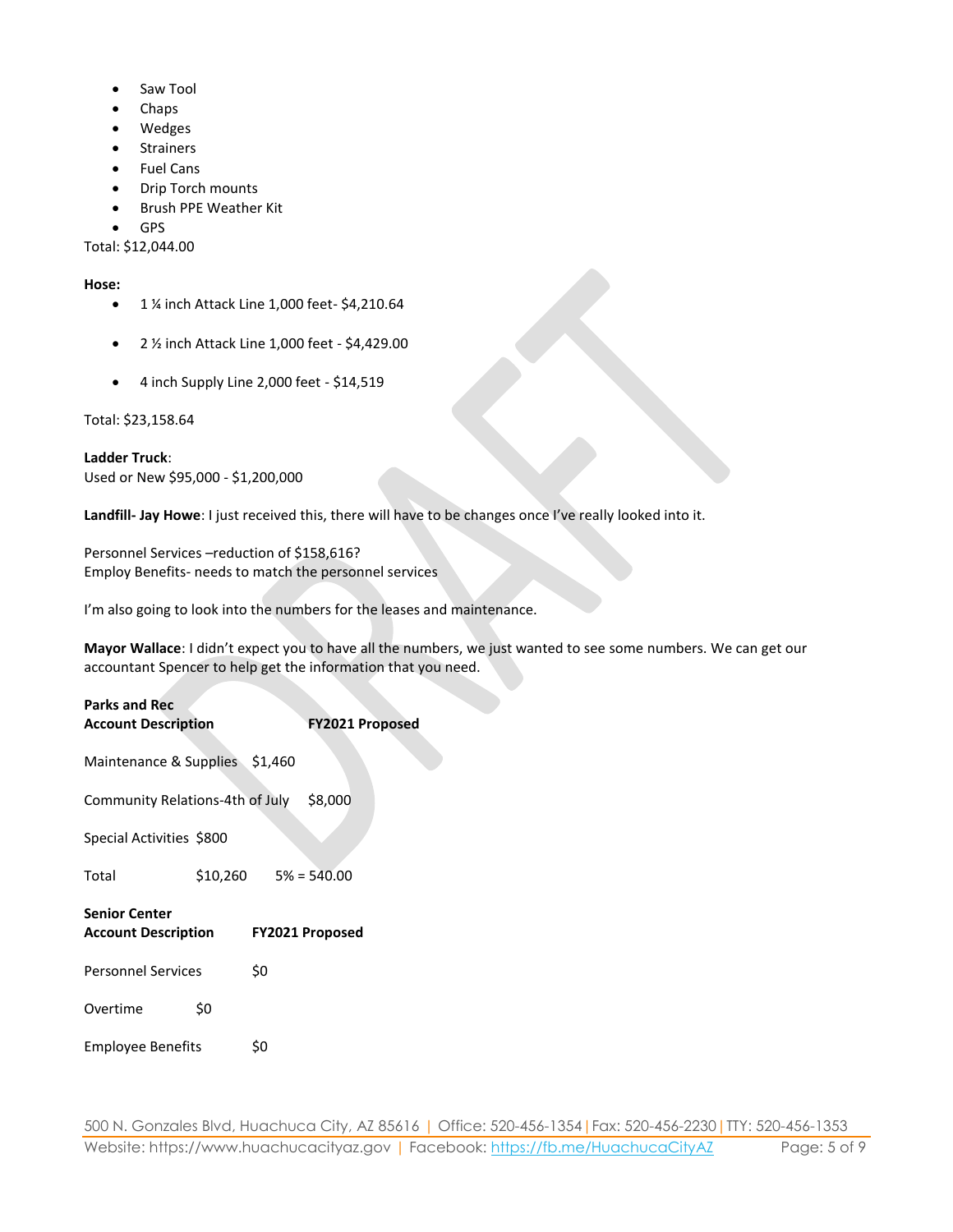- Saw Tool
- Chaps
- Wedges
- Strainers
- Fuel Cans
- Drip Torch mounts
- Brush PPE Weather Kit
- GPS

Total: \$12,044.00

#### **Hose:**

- 1 % inch Attack Line 1,000 feet- \$4,210.64
- 2 ½ inch Attack Line 1,000 feet \$4,429.00
- 4 inch Supply Line 2,000 feet \$14,519

#### Total: \$23,158.64

**Ladder Truck**: Used or New \$95,000 - \$1,200,000

**Landfill- Jay Howe**: I just received this, there will have to be changes once I've really looked into it.

Personnel Services –reduction of \$158,616? Employ Benefits- needs to match the personnel services

I'm also going to look into the numbers for the leases and maintenance.

**Mayor Wallace**: I didn't expect you to have all the numbers, we just wanted to see some numbers. We can get our accountant Spencer to help get the information that you need.

| <b>Parks and Rec</b><br><b>Account Description</b>          | <b>FY2021 Proposed</b>    |     |  |  |
|-------------------------------------------------------------|---------------------------|-----|--|--|
| Maintenance & Supplies \$1,460                              |                           |     |  |  |
| Community Relations-4th of July \$8,000                     |                           |     |  |  |
| Special Activities \$800                                    |                           |     |  |  |
| Total                                                       | $$10,260$ $$5\% = $40.00$ |     |  |  |
| <b>Senior Center</b><br>Account Description FY2021 Proposed |                           |     |  |  |
| <b>Personnel Services</b>                                   |                           | \$0 |  |  |
| Overtime                                                    | \$0                       |     |  |  |
| <b>Employee Benefits</b>                                    |                           | \$0 |  |  |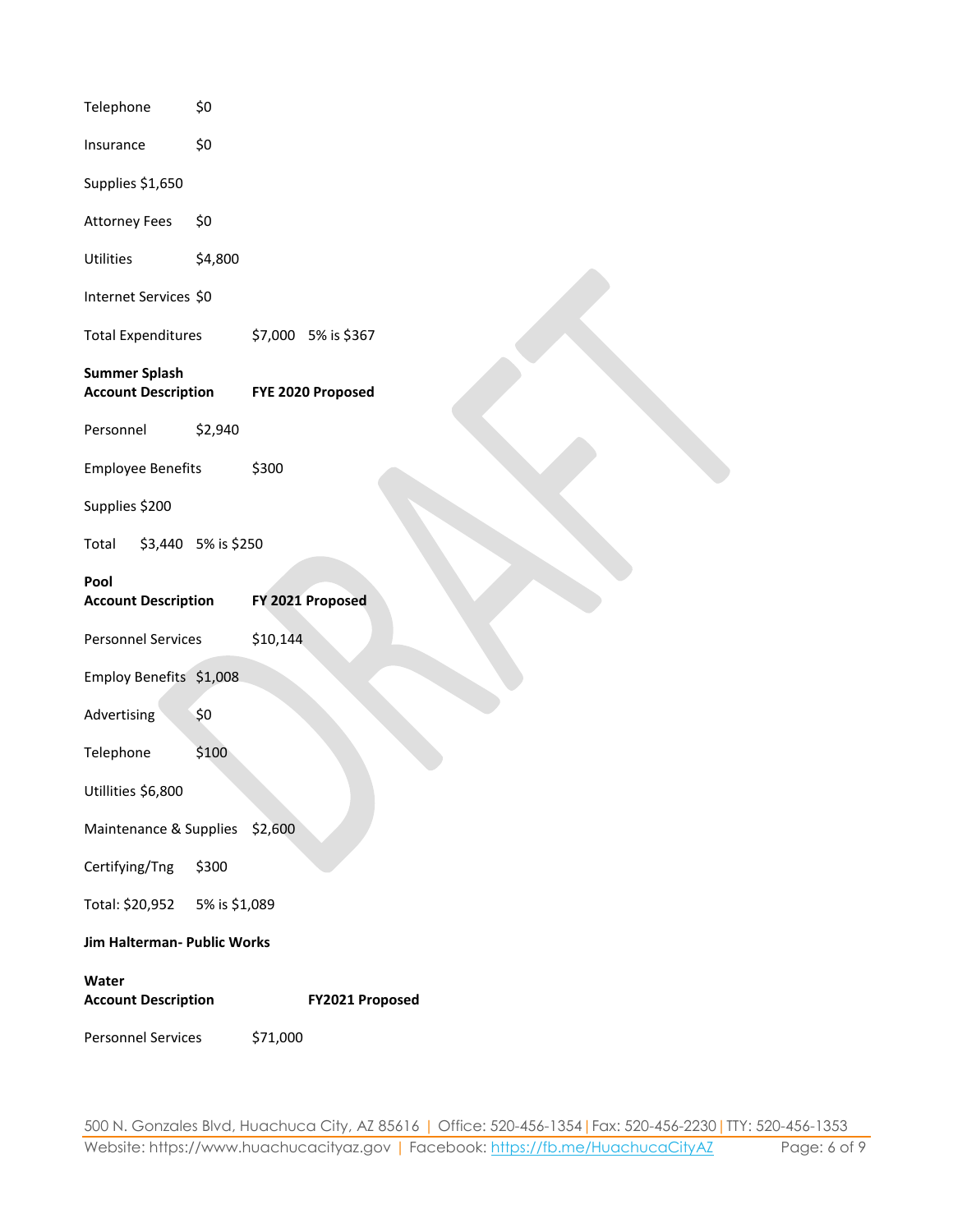| Telephone                                          | \$0                 |          |                     |  |  |  |
|----------------------------------------------------|---------------------|----------|---------------------|--|--|--|
| Insurance                                          | \$0                 |          |                     |  |  |  |
| Supplies \$1,650                                   |                     |          |                     |  |  |  |
| <b>Attorney Fees</b>                               | \$0                 |          |                     |  |  |  |
| Utilities                                          | \$4,800             |          |                     |  |  |  |
| Internet Services \$0                              |                     |          |                     |  |  |  |
| <b>Total Expenditures</b>                          |                     |          | \$7,000 5% is \$367 |  |  |  |
| <b>Summer Splash</b><br><b>Account Description</b> |                     |          | FYE 2020 Proposed   |  |  |  |
| Personnel                                          | \$2,940             |          |                     |  |  |  |
| <b>Employee Benefits</b>                           |                     | \$300    |                     |  |  |  |
| Supplies \$200                                     |                     |          |                     |  |  |  |
| Total                                              | \$3,440 5% is \$250 |          |                     |  |  |  |
| Pool<br><b>Account Description</b>                 |                     |          | FY 2021 Proposed    |  |  |  |
| <b>Personnel Services</b>                          |                     | \$10,144 |                     |  |  |  |
| Employ Benefits \$1,008                            |                     |          |                     |  |  |  |
| Advertising                                        | \$0                 |          |                     |  |  |  |
| Telephone                                          | \$100               |          |                     |  |  |  |
| Utillities \$6,800                                 |                     |          |                     |  |  |  |
| Maintenance & Supplies                             |                     | \$2,600  |                     |  |  |  |
| Certifying/Tng                                     | \$300               |          |                     |  |  |  |
| Total: \$20,952                                    | 5% is \$1,089       |          |                     |  |  |  |
| Jim Halterman- Public Works                        |                     |          |                     |  |  |  |
| Water                                              |                     |          |                     |  |  |  |
| <b>Account Description</b>                         |                     |          | FY2021 Proposed     |  |  |  |
| <b>Personnel Services</b>                          |                     | \$71,000 |                     |  |  |  |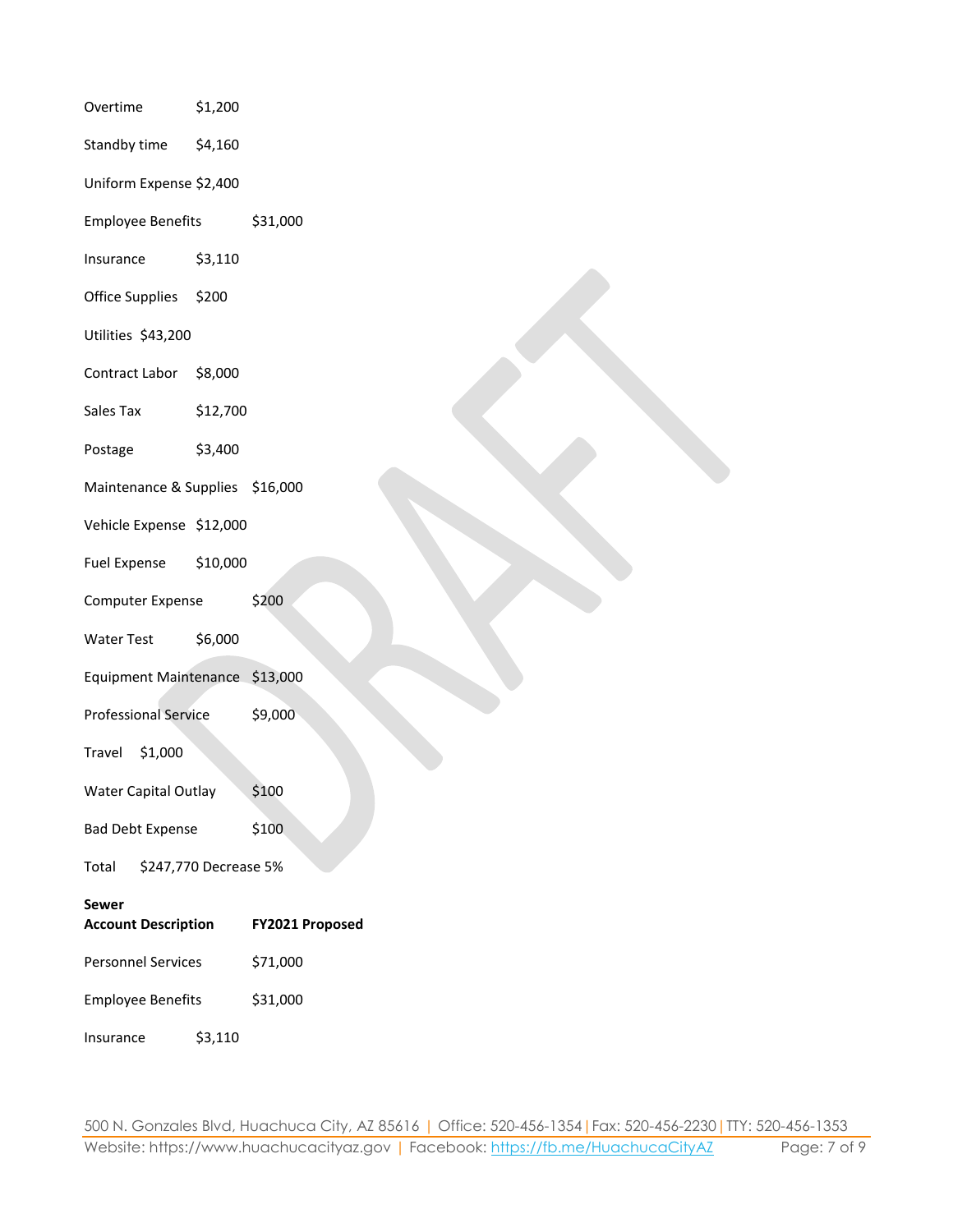| Overtime                                   | \$1,200  |                 |  |  |
|--------------------------------------------|----------|-----------------|--|--|
| Standby time                               | \$4,160  |                 |  |  |
| Uniform Expense \$2,400                    |          |                 |  |  |
| <b>Employee Benefits</b>                   |          | \$31,000        |  |  |
| Insurance                                  | \$3,110  |                 |  |  |
| Office Supplies                            | \$200    |                 |  |  |
| Utilities \$43,200                         |          |                 |  |  |
| Contract Labor                             | \$8,000  |                 |  |  |
| Sales Tax                                  | \$12,700 |                 |  |  |
| Postage                                    | \$3,400  |                 |  |  |
| Maintenance & Supplies \$16,000            |          |                 |  |  |
| Vehicle Expense \$12,000                   |          |                 |  |  |
| <b>Fuel Expense</b>                        | \$10,000 |                 |  |  |
| <b>Computer Expense</b>                    |          | \$200           |  |  |
| <b>Water Test</b>                          | \$6,000  |                 |  |  |
| Equipment Maintenance \$13,000             |          |                 |  |  |
| <b>Professional Service</b>                |          | \$9,000         |  |  |
| \$1,000<br>Travel                          |          |                 |  |  |
| <b>Water Capital Outlay</b>                |          | \$100           |  |  |
| <b>Bad Debt Expense</b>                    |          | \$100           |  |  |
| \$247,770 Decrease 5%<br>Total             |          |                 |  |  |
| <b>Sewer</b><br><b>Account Description</b> |          | FY2021 Proposed |  |  |
| <b>Personnel Services</b>                  |          | \$71,000        |  |  |
| <b>Employee Benefits</b>                   |          | \$31,000        |  |  |
| Insurance                                  | \$3,110  |                 |  |  |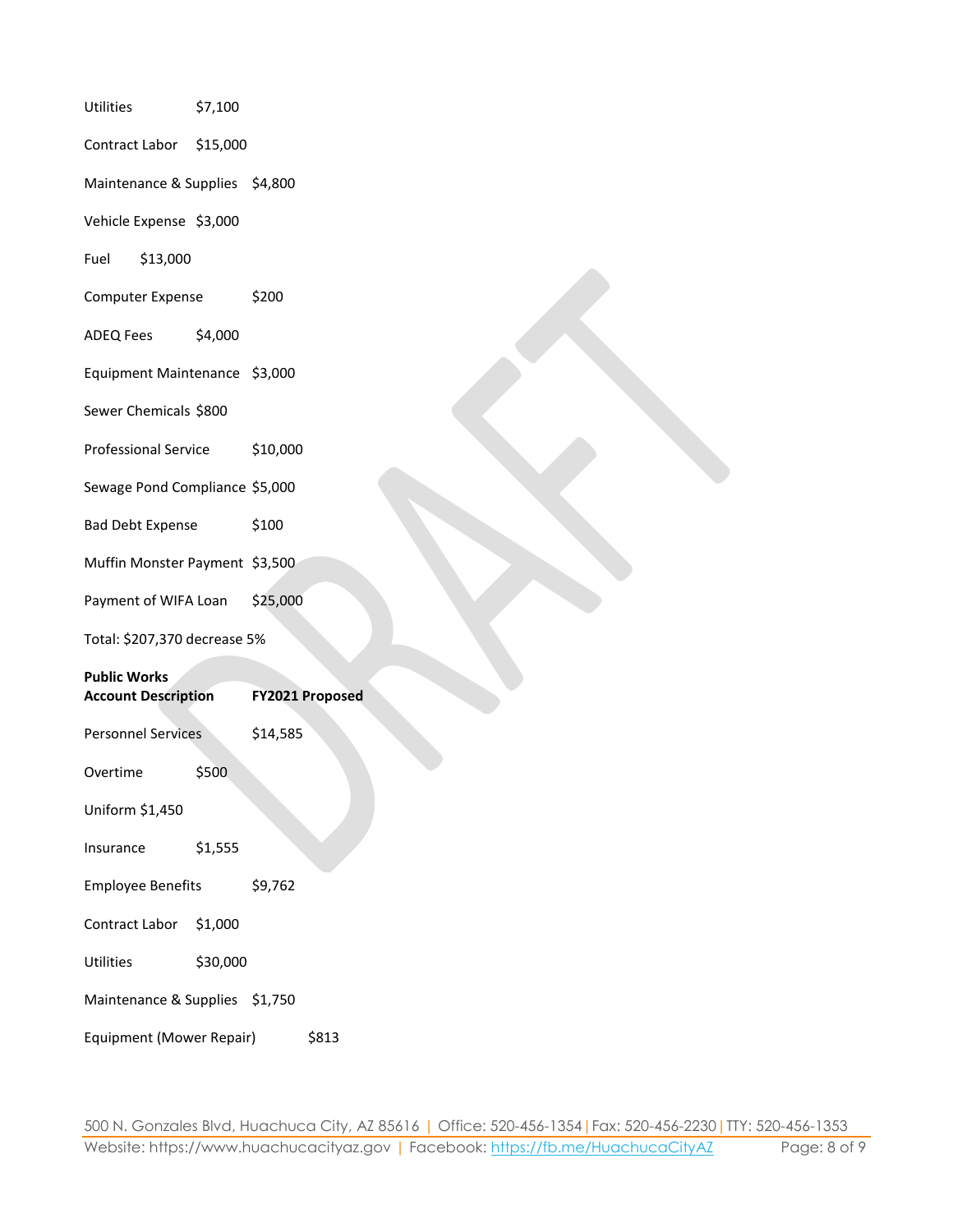| Utilities                      | \$7,100  |                 |
|--------------------------------|----------|-----------------|
| Contract Labor                 | \$15,000 |                 |
| Maintenance & Supplies \$4,800 |          |                 |
| Vehicle Expense \$3,000        |          |                 |
| \$13,000<br>Fuel               |          |                 |
| Computer Expense               |          | \$200           |
| <b>ADEQ Fees</b>               | \$4,000  |                 |
| Equipment Maintenance \$3,000  |          |                 |
| Sewer Chemicals \$800          |          |                 |
| <b>Professional Service</b>    |          | \$10,000        |
| Sewage Pond Compliance \$5,000 |          |                 |
| <b>Bad Debt Expense</b>        |          | \$100           |
| Muffin Monster Payment \$3,500 |          |                 |
| Payment of WIFA Loan           |          | \$25,000        |
| Total: \$207,370 decrease 5%   |          |                 |
| <b>Public Works</b>            |          |                 |
| <b>Account Description</b>     |          | FY2021 Proposed |
| <b>Personnel Services</b>      |          | \$14,585        |
| Overtime                       | \$500    |                 |
| Uniform \$1,450                |          |                 |
| Insurance                      | \$1,555  |                 |
| <b>Employee Benefits</b>       |          | \$9,762         |
| Contract Labor                 | \$1,000  |                 |
| Utilities                      | \$30,000 |                 |
| Maintenance & Supplies \$1,750 |          |                 |
| Equipment (Mower Repair)       |          | \$813           |